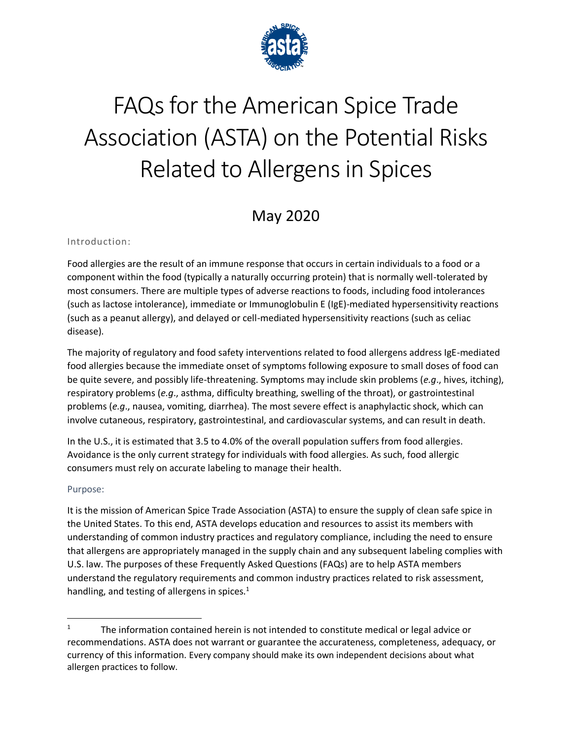

# FAQs for the American Spice Trade Association (ASTA) on the Potential Risks Related to Allergens in Spices

## May 2020

#### Introduction:

Food allergies are the result of an immune response that occurs in certain individuals to a food or a component within the food (typically a naturally occurring protein) that is normally well-tolerated by most consumers. There are multiple types of adverse reactions to foods, including food intolerances (such as lactose intolerance), immediate or Immunoglobulin E (IgE)-mediated hypersensitivity reactions (such as a peanut allergy), and delayed or cell-mediated hypersensitivity reactions (such as celiac disease).

The majority of regulatory and food safety interventions related to food allergens address IgE-mediated food allergies because the immediate onset of symptoms following exposure to small doses of food can be quite severe, and possibly life-threatening. Symptoms may include skin problems (*e.g*., hives, itching), respiratory problems (*e.g*., asthma, difficulty breathing, swelling of the throat), or gastrointestinal problems (*e.g*., nausea, vomiting, diarrhea). The most severe effect is anaphylactic shock, which can involve cutaneous, respiratory, gastrointestinal, and cardiovascular systems, and can result in death.

In the U.S., it is estimated that 3.5 to 4.0% of the overall population suffers from food allergies. Avoidance is the only current strategy for individuals with food allergies. As such, food allergic consumers must rely on accurate labeling to manage their health.

#### Purpose:

It is the mission of American Spice Trade Association (ASTA) to ensure the supply of clean safe spice in the United States. To this end, ASTA develops education and resources to assist its members with understanding of common industry practices and regulatory compliance, including the need to ensure that allergens are appropriately managed in the supply chain and any subsequent labeling complies with U.S. law. The purposes of these Frequently Asked Questions (FAQs) are to help ASTA members understand the regulatory requirements and common industry practices related to risk assessment, handling, and testing of allergens in spices.<sup>1</sup>

<sup>1</sup> The information contained herein is not intended to constitute medical or legal advice or recommendations. ASTA does not warrant or guarantee the accurateness, completeness, adequacy, or currency of this information. Every company should make its own independent decisions about what allergen practices to follow.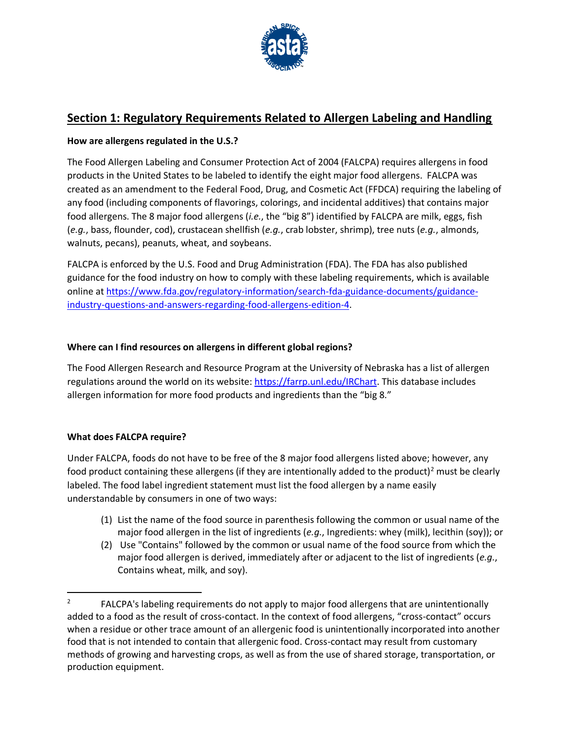

## **Section 1: Regulatory Requirements Related to Allergen Labeling and Handling**

#### **How are allergens regulated in the U.S.?**

The Food Allergen Labeling and Consumer Protection Act of 2004 (FALCPA) requires allergens in food products in the United States to be labeled to identify the eight major food allergens. FALCPA was created as an amendment to the Federal Food, Drug, and Cosmetic Act (FFDCA) requiring the labeling of any food (including components of flavorings, colorings, and incidental additives) that contains major food allergens. The 8 major food allergens (*i.e.*, the "big 8") identified by FALCPA are milk, eggs, fish (*e.g.*, bass, flounder, cod), crustacean shellfish (*e.g.*, crab lobster, shrimp), tree nuts (*e.g.*, almonds, walnuts, pecans), peanuts, wheat, and soybeans.

FALCPA is enforced by the U.S. Food and Drug Administration (FDA). The FDA has also published guidance for the food industry on how to comply with these labeling requirements, which is available online at [https://www.fda.gov/regulatory-information/search-fda-guidance-documents/guidance](https://www.fda.gov/regulatory-information/search-fda-guidance-documents/guidance-industry-questions-and-answers-regarding-food-allergens-edition-4)[industry-questions-and-answers-regarding-food-allergens-edition-4.](https://www.fda.gov/regulatory-information/search-fda-guidance-documents/guidance-industry-questions-and-answers-regarding-food-allergens-edition-4)

#### **Where can I find resources on allergens in different global regions?**

The Food Allergen Research and Resource Program at the University of Nebraska has a list of allergen regulations around the world on its website[: https://farrp.unl.edu/IRChart.](https://farrp.unl.edu/IRChart) This database includes allergen information for more food products and ingredients than the "big 8."

#### **What does FALCPA require?**

Under FALCPA, foods do not have to be free of the 8 major food allergens listed above; however, any food product containing these allergens (if they are intentionally added to the product)<sup>2</sup> must be clearly labeled. The food label ingredient statement must list the food allergen by a name easily understandable by consumers in one of two ways:

- (1) List the name of the food source in parenthesis following the common or usual name of the major food allergen in the list of ingredients (*e.g.*, Ingredients: whey (milk), lecithin (soy)); or
- (2) Use "Contains" followed by the common or usual name of the food source from which the major food allergen is derived, immediately after or adjacent to the list of ingredients (*e.g.*, Contains wheat, milk, and soy).

<sup>2</sup> FALCPA's labeling requirements do not apply to major food allergens that are unintentionally added to a food as the result of cross-contact. In the context of food allergens, "cross-contact" occurs when a residue or other trace amount of an allergenic food is unintentionally incorporated into another food that is not intended to contain that allergenic food. Cross-contact may result from customary methods of growing and harvesting crops, as well as from the use of shared storage, transportation, or production equipment.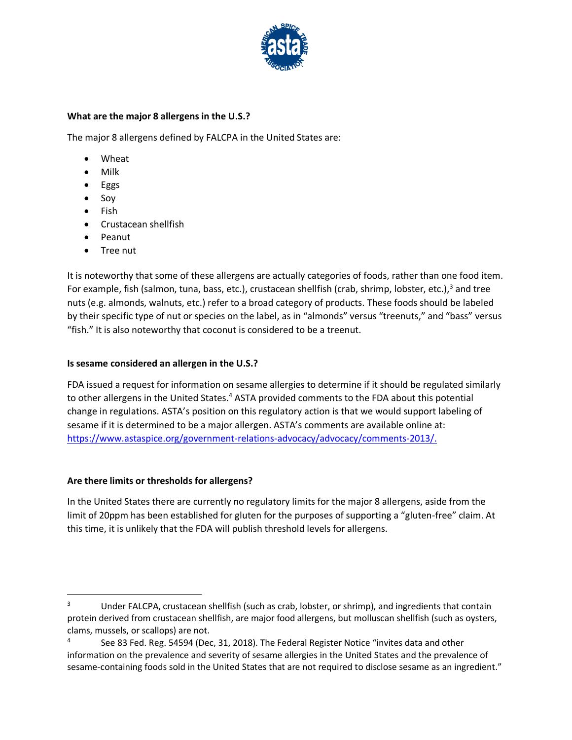

#### **What are the major 8 allergens in the U.S.?**

The major 8 allergens defined by FALCPA in the United States are:

- Wheat
- Milk
- Eggs
- Soy
- Fish
- Crustacean shellfish
- Peanut
- Tree nut

It is noteworthy that some of these allergens are actually categories of foods, rather than one food item. For example, fish (salmon, tuna, bass, etc.), crustacean shellfish (crab, shrimp, lobster, etc.),<sup>3</sup> and tree nuts (e.g. almonds, walnuts, etc.) refer to a broad category of products. These foods should be labeled by their specific type of nut or species on the label, as in "almonds" versus "treenuts," and "bass" versus "fish." It is also noteworthy that coconut is considered to be a treenut.

#### **Is sesame considered an allergen in the U.S.?**

FDA issued a request for information on sesame allergies to determine if it should be regulated similarly to other allergens in the United States.<sup>4</sup> ASTA provided comments to the FDA about this potential change in regulations. ASTA's position on this regulatory action is that we would support labeling of sesame if it is determined to be a major allergen. ASTA's comments are available online at: [https://www.astaspice.org/government-relations-advocacy/advocacy/comments-2013/.](https://www.astaspice.org/government-relations-advocacy/advocacy/comments-2013/)

#### **Are there limits or thresholds for allergens?**

In the United States there are currently no regulatory limits for the major 8 allergens, aside from the limit of 20ppm has been established for gluten for the purposes of supporting a "gluten-free" claim. At this time, it is unlikely that the FDA will publish threshold levels for allergens.

<sup>&</sup>lt;sup>3</sup> Under FALCPA, crustacean shellfish (such as crab, lobster, or shrimp), and ingredients that contain protein derived from crustacean shellfish, are major food allergens, but molluscan shellfish (such as oysters, clams, mussels, or scallops) are not.

<sup>4</sup> See 83 Fed. Reg. 54594 (Dec, 31, 2018). The Federal Register Notice "invites data and other information on the prevalence and severity of sesame allergies in the United States and the prevalence of sesame-containing foods sold in the United States that are not required to disclose sesame as an ingredient."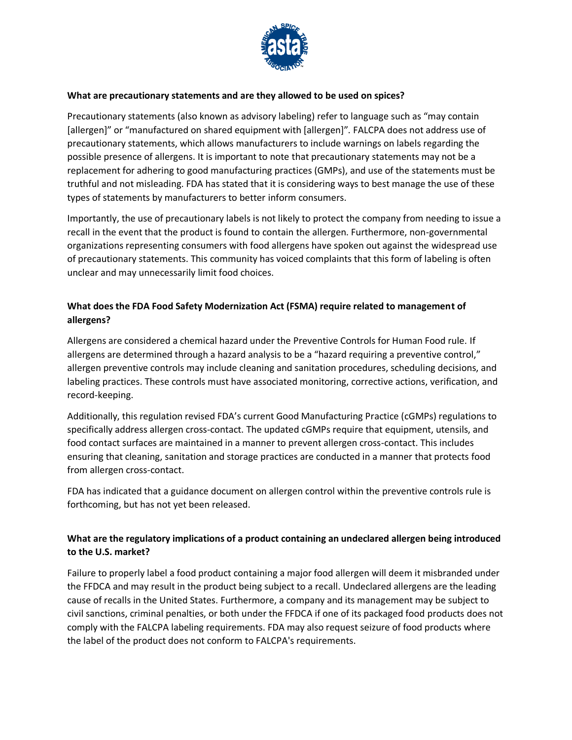

#### **What are precautionary statements and are they allowed to be used on spices?**

Precautionary statements (also known as advisory labeling) refer to language such as "may contain [allergen]" or "manufactured on shared equipment with [allergen]". FALCPA does not address use of precautionary statements, which allows manufacturers to include warnings on labels regarding the possible presence of allergens. It is important to note that precautionary statements may not be a replacement for adhering to good manufacturing practices (GMPs), and use of the statements must be truthful and not misleading. FDA has stated that it is considering ways to best manage the use of these types of statements by manufacturers to better inform consumers.

Importantly, the use of precautionary labels is not likely to protect the company from needing to issue a recall in the event that the product is found to contain the allergen. Furthermore, non-governmental organizations representing consumers with food allergens have spoken out against the widespread use of precautionary statements. This community has voiced complaints that this form of labeling is often unclear and may unnecessarily limit food choices.

#### **What does the FDA Food Safety Modernization Act (FSMA) require related to management of allergens?**

Allergens are considered a chemical hazard under the Preventive Controls for Human Food rule. If allergens are determined through a hazard analysis to be a "hazard requiring a preventive control," allergen preventive controls may include cleaning and sanitation procedures, scheduling decisions, and labeling practices. These controls must have associated monitoring, corrective actions, verification, and record-keeping.

Additionally, this regulation revised FDA's current Good Manufacturing Practice (cGMPs) regulations to specifically address allergen cross-contact. The updated cGMPs require that equipment, utensils, and food contact surfaces are maintained in a manner to prevent allergen cross-contact. This includes ensuring that cleaning, sanitation and storage practices are conducted in a manner that protects food from allergen cross-contact.

FDA has indicated that a guidance document on allergen control within the preventive controls rule is forthcoming, but has not yet been released.

#### **What are the regulatory implications of a product containing an undeclared allergen being introduced to the U.S. market?**

Failure to properly label a food product containing a major food allergen will deem it misbranded under the FFDCA and may result in the product being subject to a recall. Undeclared allergens are the leading cause of recalls in the United States. Furthermore, a company and its management may be subject to civil sanctions, criminal penalties, or both under the FFDCA if one of its packaged food products does not comply with the FALCPA labeling requirements. FDA may also request seizure of food products where the label of the product does not conform to FALCPA's requirements.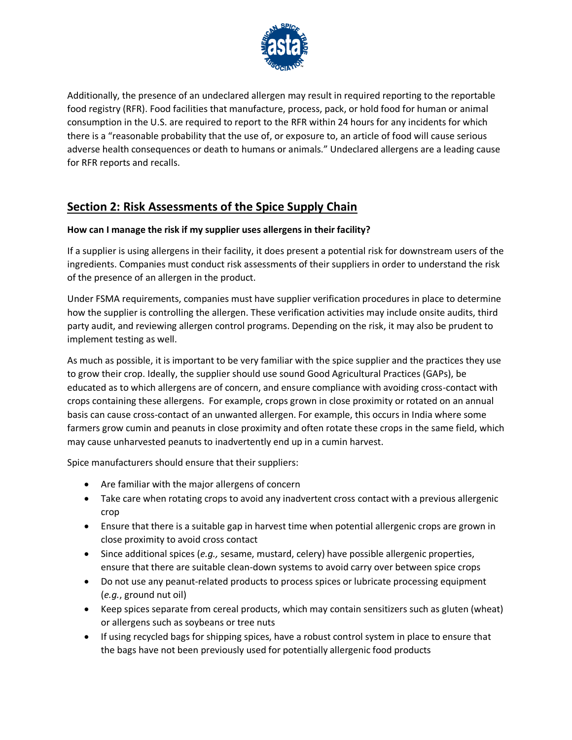

Additionally, the presence of an undeclared allergen may result in required reporting to the reportable food registry (RFR). Food facilities that manufacture, process, pack, or hold food for human or animal consumption in the U.S. are required to report to the RFR within 24 hours for any incidents for which there is a "reasonable probability that the use of, or exposure to, an article of food will cause serious adverse health consequences or death to humans or animals." Undeclared allergens are a leading cause for RFR reports and recalls.

## **Section 2: Risk Assessments of the Spice Supply Chain**

#### **How can I manage the risk if my supplier uses allergens in their facility?**

If a supplier is using allergens in their facility, it does present a potential risk for downstream users of the ingredients. Companies must conduct risk assessments of their suppliers in order to understand the risk of the presence of an allergen in the product.

Under FSMA requirements, companies must have supplier verification procedures in place to determine how the supplier is controlling the allergen. These verification activities may include onsite audits, third party audit, and reviewing allergen control programs. Depending on the risk, it may also be prudent to implement testing as well.

As much as possible, it is important to be very familiar with the spice supplier and the practices they use to grow their crop. Ideally, the supplier should use sound Good Agricultural Practices (GAPs), be educated as to which allergens are of concern, and ensure compliance with avoiding cross-contact with crops containing these allergens. For example, crops grown in close proximity or rotated on an annual basis can cause cross-contact of an unwanted allergen. For example, this occurs in India where some farmers grow cumin and peanuts in close proximity and often rotate these crops in the same field, which may cause unharvested peanuts to inadvertently end up in a cumin harvest.

Spice manufacturers should ensure that their suppliers:

- Are familiar with the major allergens of concern
- Take care when rotating crops to avoid any inadvertent cross contact with a previous allergenic crop
- Ensure that there is a suitable gap in harvest time when potential allergenic crops are grown in close proximity to avoid cross contact
- Since additional spices (*e.g.,* sesame, mustard, celery) have possible allergenic properties, ensure that there are suitable clean-down systems to avoid carry over between spice crops
- Do not use any peanut-related products to process spices or lubricate processing equipment (*e.g.*, ground nut oil)
- Keep spices separate from cereal products, which may contain sensitizers such as gluten (wheat) or allergens such as soybeans or tree nuts
- If using recycled bags for shipping spices, have a robust control system in place to ensure that the bags have not been previously used for potentially allergenic food products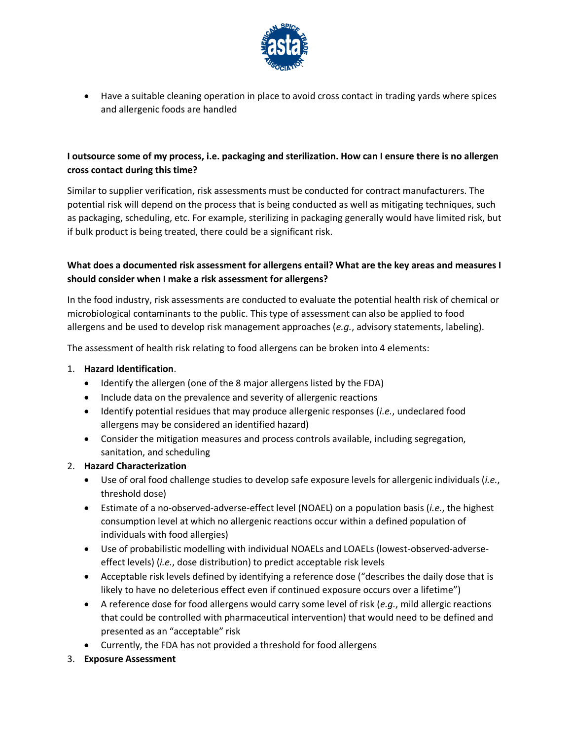

• Have a suitable cleaning operation in place to avoid cross contact in trading yards where spices and allergenic foods are handled

#### **I outsource some of my process, i.e. packaging and sterilization. How can I ensure there is no allergen cross contact during this time?**

Similar to supplier verification, risk assessments must be conducted for contract manufacturers. The potential risk will depend on the process that is being conducted as well as mitigating techniques, such as packaging, scheduling, etc. For example, sterilizing in packaging generally would have limited risk, but if bulk product is being treated, there could be a significant risk.

#### **What does a documented risk assessment for allergens entail? What are the key areas and measures I should consider when I make a risk assessment for allergens?**

In the food industry, risk assessments are conducted to evaluate the potential health risk of chemical or microbiological contaminants to the public. This type of assessment can also be applied to food allergens and be used to develop risk management approaches (*e.g.*, advisory statements, labeling).

The assessment of health risk relating to food allergens can be broken into 4 elements:

#### 1. **Hazard Identification**.

- Identify the allergen (one of the 8 major allergens listed by the FDA)
- Include data on the prevalence and severity of allergenic reactions
- Identify potential residues that may produce allergenic responses (*i.e.*, undeclared food allergens may be considered an identified hazard)
- Consider the mitigation measures and process controls available, including segregation, sanitation, and scheduling

#### 2. **Hazard Characterization**

- Use of oral food challenge studies to develop safe exposure levels for allergenic individuals (*i.e.*, threshold dose)
- Estimate of a no-observed-adverse-effect level (NOAEL) on a population basis (*i.e.*, the highest consumption level at which no allergenic reactions occur within a defined population of individuals with food allergies)
- Use of probabilistic modelling with individual NOAELs and LOAELs (lowest-observed-adverseeffect levels) (*i.e.*, dose distribution) to predict acceptable risk levels
- Acceptable risk levels defined by identifying a reference dose ("describes the daily dose that is likely to have no deleterious effect even if continued exposure occurs over a lifetime")
- A reference dose for food allergens would carry some level of risk (*e.g.*, mild allergic reactions that could be controlled with pharmaceutical intervention) that would need to be defined and presented as an "acceptable" risk
- Currently, the FDA has not provided a threshold for food allergens
- 3. **Exposure Assessment**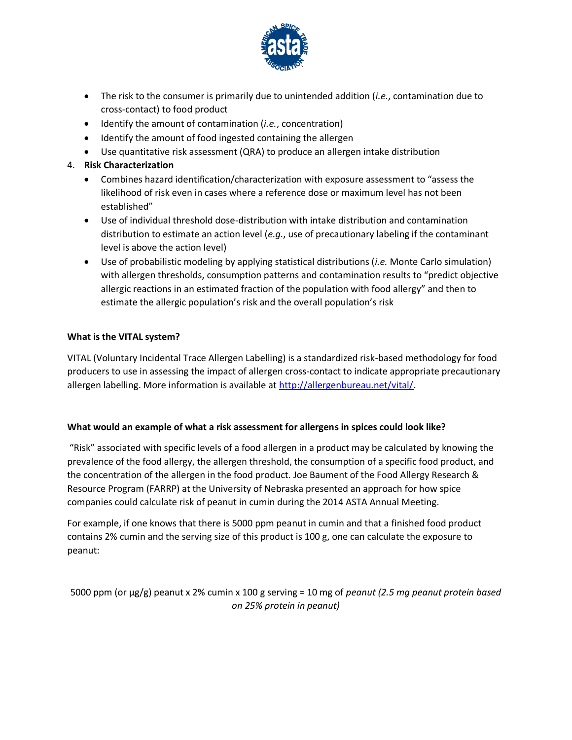

- The risk to the consumer is primarily due to unintended addition (*i.e.*, contamination due to cross-contact) to food product
- Identify the amount of contamination (*i.e.*, concentration)
- Identify the amount of food ingested containing the allergen
- Use quantitative risk assessment (QRA) to produce an allergen intake distribution
- 4. **Risk Characterization**
	- Combines hazard identification/characterization with exposure assessment to "assess the likelihood of risk even in cases where a reference dose or maximum level has not been established"
	- Use of individual threshold dose-distribution with intake distribution and contamination distribution to estimate an action level (*e.g.*, use of precautionary labeling if the contaminant level is above the action level)
	- Use of probabilistic modeling by applying statistical distributions (*i.e.* Monte Carlo simulation) with allergen thresholds, consumption patterns and contamination results to "predict objective allergic reactions in an estimated fraction of the population with food allergy" and then to estimate the allergic population's risk and the overall population's risk

#### **What is the VITAL system?**

VITAL (Voluntary Incidental Trace Allergen Labelling) is a standardized risk-based methodology for food producers to use in assessing the impact of allergen cross-contact to indicate appropriate precautionary allergen labelling. More information is available at [http://allergenbureau.net/vital/.](http://allergenbureau.net/vital/)

#### **What would an example of what a risk assessment for allergens in spices could look like?**

"Risk" associated with specific levels of a food allergen in a product may be calculated by knowing the prevalence of the food allergy, the allergen threshold, the consumption of a specific food product, and the concentration of the allergen in the food product. Joe Baument of the Food Allergy Research & Resource Program (FARRP) at the University of Nebraska presented an approach for how spice companies could calculate risk of peanut in cumin during the 2014 ASTA Annual Meeting.

For example, if one knows that there is 5000 ppm peanut in cumin and that a finished food product contains 2% cumin and the serving size of this product is 100 g, one can calculate the exposure to peanut:

5000 ppm (or µg/g) peanut x 2% cumin x 100 g serving = 10 mg of *peanut (2.5 mg peanut protein based on 25% protein in peanut)*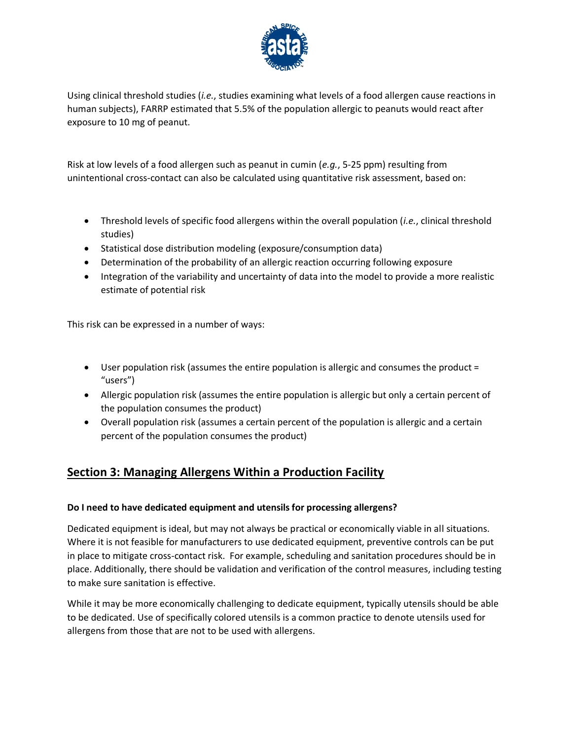

Using clinical threshold studies (*i.e.*, studies examining what levels of a food allergen cause reactions in human subjects), FARRP estimated that 5.5% of the population allergic to peanuts would react after exposure to 10 mg of peanut.

Risk at low levels of a food allergen such as peanut in cumin (*e.g.*, 5-25 ppm) resulting from unintentional cross-contact can also be calculated using quantitative risk assessment, based on:

- Threshold levels of specific food allergens within the overall population (*i.e.*, clinical threshold studies)
- Statistical dose distribution modeling (exposure/consumption data)
- Determination of the probability of an allergic reaction occurring following exposure
- Integration of the variability and uncertainty of data into the model to provide a more realistic estimate of potential risk

This risk can be expressed in a number of ways:

- User population risk (assumes the entire population is allergic and consumes the product = "users")
- Allergic population risk (assumes the entire population is allergic but only a certain percent of the population consumes the product)
- Overall population risk (assumes a certain percent of the population is allergic and a certain percent of the population consumes the product)

## **Section 3: Managing Allergens Within a Production Facility**

#### **Do I need to have dedicated equipment and utensils for processing allergens?**

Dedicated equipment is ideal, but may not always be practical or economically viable in all situations. Where it is not feasible for manufacturers to use dedicated equipment, preventive controls can be put in place to mitigate cross-contact risk. For example, scheduling and sanitation procedures should be in place. Additionally, there should be validation and verification of the control measures, including testing to make sure sanitation is effective.

While it may be more economically challenging to dedicate equipment, typically utensils should be able to be dedicated. Use of specifically colored utensils is a common practice to denote utensils used for allergens from those that are not to be used with allergens.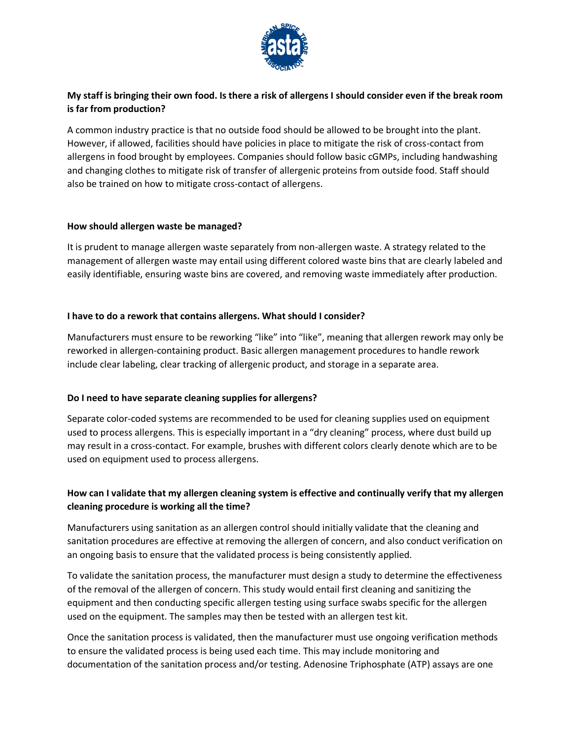

#### **My staff is bringing their own food. Is there a risk of allergens I should consider even if the break room is far from production?**

A common industry practice is that no outside food should be allowed to be brought into the plant. However, if allowed, facilities should have policies in place to mitigate the risk of cross-contact from allergens in food brought by employees. Companies should follow basic cGMPs, including handwashing and changing clothes to mitigate risk of transfer of allergenic proteins from outside food. Staff should also be trained on how to mitigate cross-contact of allergens.

#### **How should allergen waste be managed?**

It is prudent to manage allergen waste separately from non-allergen waste. A strategy related to the management of allergen waste may entail using different colored waste bins that are clearly labeled and easily identifiable, ensuring waste bins are covered, and removing waste immediately after production.

#### **I have to do a rework that contains allergens. What should I consider?**

Manufacturers must ensure to be reworking "like" into "like", meaning that allergen rework may only be reworked in allergen-containing product. Basic allergen management procedures to handle rework include clear labeling, clear tracking of allergenic product, and storage in a separate area.

#### **Do I need to have separate cleaning supplies for allergens?**

Separate color-coded systems are recommended to be used for cleaning supplies used on equipment used to process allergens. This is especially important in a "dry cleaning" process, where dust build up may result in a cross-contact. For example, brushes with different colors clearly denote which are to be used on equipment used to process allergens.

#### **How can I validate that my allergen cleaning system is effective and continually verify that my allergen cleaning procedure is working all the time?**

Manufacturers using sanitation as an allergen control should initially validate that the cleaning and sanitation procedures are effective at removing the allergen of concern, and also conduct verification on an ongoing basis to ensure that the validated process is being consistently applied.

To validate the sanitation process, the manufacturer must design a study to determine the effectiveness of the removal of the allergen of concern. This study would entail first cleaning and sanitizing the equipment and then conducting specific allergen testing using surface swabs specific for the allergen used on the equipment. The samples may then be tested with an allergen test kit.

Once the sanitation process is validated, then the manufacturer must use ongoing verification methods to ensure the validated process is being used each time. This may include monitoring and documentation of the sanitation process and/or testing. Adenosine Triphosphate (ATP) assays are one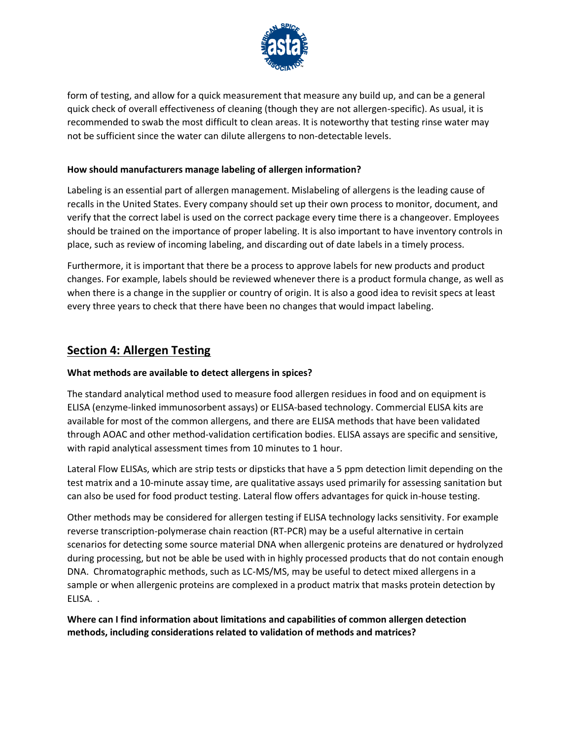

form of testing, and allow for a quick measurement that measure any build up, and can be a general quick check of overall effectiveness of cleaning (though they are not allergen-specific). As usual, it is recommended to swab the most difficult to clean areas. It is noteworthy that testing rinse water may not be sufficient since the water can dilute allergens to non-detectable levels.

#### **How should manufacturers manage labeling of allergen information?**

Labeling is an essential part of allergen management. Mislabeling of allergens is the leading cause of recalls in the United States. Every company should set up their own process to monitor, document, and verify that the correct label is used on the correct package every time there is a changeover. Employees should be trained on the importance of proper labeling. It is also important to have inventory controls in place, such as review of incoming labeling, and discarding out of date labels in a timely process.

Furthermore, it is important that there be a process to approve labels for new products and product changes. For example, labels should be reviewed whenever there is a product formula change, as well as when there is a change in the supplier or country of origin. It is also a good idea to revisit specs at least every three years to check that there have been no changes that would impact labeling.

### **Section 4: Allergen Testing**

#### **What methods are available to detect allergens in spices?**

The standard analytical method used to measure food allergen residues in food and on equipment is ELISA (enzyme-linked immunosorbent assays) or ELISA-based technology. Commercial ELISA kits are available for most of the common allergens, and there are ELISA methods that have been validated through AOAC and other method-validation certification bodies. ELISA assays are specific and sensitive, with rapid analytical assessment times from 10 minutes to 1 hour.

Lateral Flow ELISAs, which are strip tests or dipsticks that have a 5 ppm detection limit depending on the test matrix and a 10-minute assay time, are qualitative assays used primarily for assessing sanitation but can also be used for food product testing. Lateral flow offers advantages for quick in-house testing.

Other methods may be considered for allergen testing if ELISA technology lacks sensitivity. For example reverse transcription-polymerase chain reaction (RT-PCR) may be a useful alternative in certain scenarios for detecting some source material DNA when allergenic proteins are denatured or hydrolyzed during processing, but not be able be used with in highly processed products that do not contain enough DNA. Chromatographic methods, such as LC-MS/MS, may be useful to detect mixed allergens in a sample or when allergenic proteins are complexed in a product matrix that masks protein detection by ELISA. .

**Where can I find information about limitations and capabilities of common allergen detection methods, including considerations related to validation of methods and matrices?**